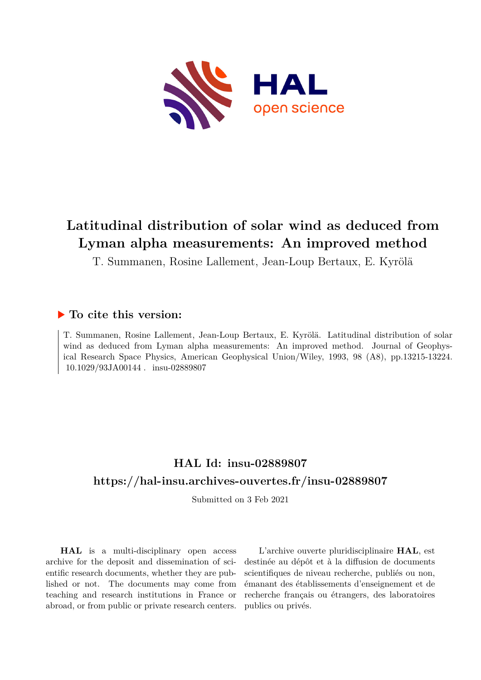

# **Latitudinal distribution of solar wind as deduced from Lyman alpha measurements: An improved method**

T. Summanen, Rosine Lallement, Jean-Loup Bertaux, E. Kyrölä

# **To cite this version:**

T. Summanen, Rosine Lallement, Jean-Loup Bertaux, E. Kyrölä. Latitudinal distribution of solar wind as deduced from Lyman alpha measurements: An improved method. Journal of Geophysical Research Space Physics, American Geophysical Union/Wiley, 1993, 98 (A8), pp.13215-13224. 10.1029/93JA00144 . insu-02889807

# **HAL Id: insu-02889807 <https://hal-insu.archives-ouvertes.fr/insu-02889807>**

Submitted on 3 Feb 2021

**HAL** is a multi-disciplinary open access archive for the deposit and dissemination of scientific research documents, whether they are published or not. The documents may come from teaching and research institutions in France or abroad, or from public or private research centers.

L'archive ouverte pluridisciplinaire **HAL**, est destinée au dépôt et à la diffusion de documents scientifiques de niveau recherche, publiés ou non, émanant des établissements d'enseignement et de recherche français ou étrangers, des laboratoires publics ou privés.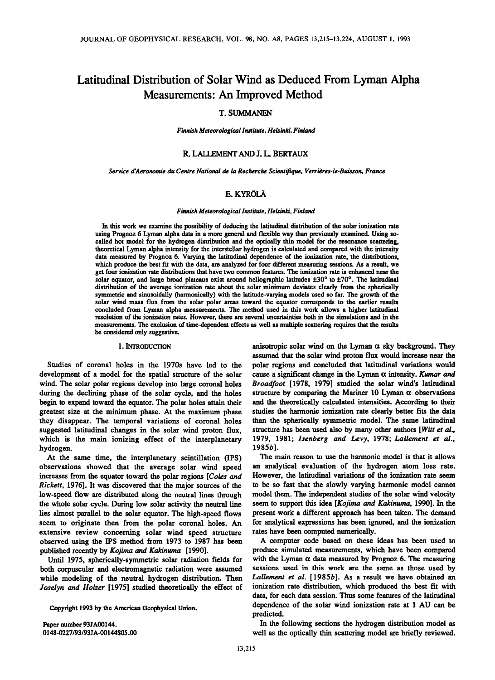# **Latitudinal Distribution of Solar Wind as Deduced From Lyman Alpha Measurements' An Improved Method**

# **T. SUMMANEN**

**Finnish Meteorological Institute, Helsinki, Finland** 

# **R. LALLEMENT AND J. L. BERTAUX**

**Service d'Aeronomie du Centre National de la Recherche Scientifique, Verridres-le-Buisson, France** 

# **E. KYRÖLÄ**

### **Finnish Meteorological Institute, Helsinki, Finland**

**In this work we examine the possibility of deducing the latitudinal distribution of the solar ionization rate using Prognoz 6 Lyman alpha data in a more general and flexible way than previously examined. Using socalled hot model for the hydrogen distribution and the optically thin model for the resonance scattering, theoretical Lyman alpha intensity for the interstellar hydrogen is calculated and compared with the intensity data measured by Prognoz 6. Varying the latitudinal dependence of the ionization rate, the distributions,**  which produce the best fit with the data, are analyzed for four different measuring sessions. As a result, we **get four ionization rate distributions that have two common features. The ionization rate is enhanced near the**  solar equator, and large broad plateaus exist around heliographic latitudes  $\pm 30^\circ$  to  $\pm 70^\circ$ . The latitudinal **distribution of the average ionization rate about the solar minimum deviates clearly from the spherically symmetric and sinusoidally (harmonically) with the latitude-varying models used so far. The growth of the solar wind mass flux from the solar polar areas toward the equator corresponds to the earlier results concluded from Lyman alpha measurements. The method used in this work allows a higher latitudinal**  resolution of the ionization rates. However, there are several uncertainties both in the simulations and in the **measurements. The exclusion of time-dependent effects as well as multiple scattering requires that the results be considered only suggestive.** 

#### **1. INTRODUCTION**

**Studies of coronal holes in the 1970s have led to the development of a model for the spatial structure of the solar wind. The solar polar regions develop into large coronal holes during the declining phase of the solar cycle, and the holes begin to expand toward the equator. The polar holes attain their greatest size at the minimum phase. At the maximum phase they disappear. The temporal variations of coronal holes suggested latitudinal changes in the solar wind proton flux, which is the main ionizing effect of the interplanetary hydrogen.** 

**At the same time, the interplanetary scintillation (IPS) observations showed that the average solar wind speed increases from the equator toward the polar regions [Coles and Rickett, 1976]. It was discovered that the major sources of the low-speed flow are distributed along the neutral lines through the whole solar cycle. During low solar activity the neutral line lies almost parallel to the solar equator. The high-speed flows seem to originate then from the polar coronal holes. An extensive review concerning solar wind speed structure observed using the IPS method from 1973 to 1987 has been published recently by Kojima and Kakinuma [1990].** 

**Until 1975, spherically-symmetric solar radiation fields for both corpuscular and electromagnetic radiation were assumed while modeling of the neutral hydrogen distribution. Then Joselyn and Holzer [1975] studied theoretically the effect of** 

**Copyright 1993 by the American Geophysical Union.** 

**Paper number 93JA00144. 0148-0227/93/93JA-00144505.00**  anisotropic solar wind on the Lyman  $\alpha$  sky background. They **assumed that the solar wind proton flux would increase near the polar regions and concluded that latitudinal variations would**  cause a significant change in the Lyman  $\alpha$  intensity. Kumar and **Broadfoot [1978, 1979] studied the solar wind's latitudinal**  structure by comparing the Mariner 10 Lyman  $\alpha$  observations **and the theoretically calculated intensities. According to their studies the harmonic ionization rate clearly better fits the data than the spherically symmetric model. The same latitudinal**  structure has been used also by many other authors [Witt et al., **1979, 1981; lsenberg and Levy, 1978; Lallement et al., 1985b].** 

**The main reason to use the harmonic model is that it allows an analytical evaluation of the hydrogen atom loss rate. However, the latitudinal variations of the ionization rate seem to be so fast that the slowly varying harmonic model cannot model them. The independent studies of the solar wind velocity seem to support this idea [Kojima and Kakinuma, 1990]. In the present work a different approach has been taken. The demand for analytical expressions has been ignored, and the ionization rates have been computed numerically.** 

**A computer code based on these ideas has been used to produce simulated measurements, which have been compared**  with the Lyman  $\alpha$  data measured by Prognoz 6. The measuring **sessions used in this work are the same as those used by Lallement et al. [1985b]. As a result we have obtained an ionization rate distribution, which produced the best fit with data, for each data session. Thus some features of the latitudinal dependence of the solar wind ionization rate at 1 AU can be predicted.** 

**In the following sections the hydrogen distribution model as well as the optically thin scattering model are briefly reviewed.**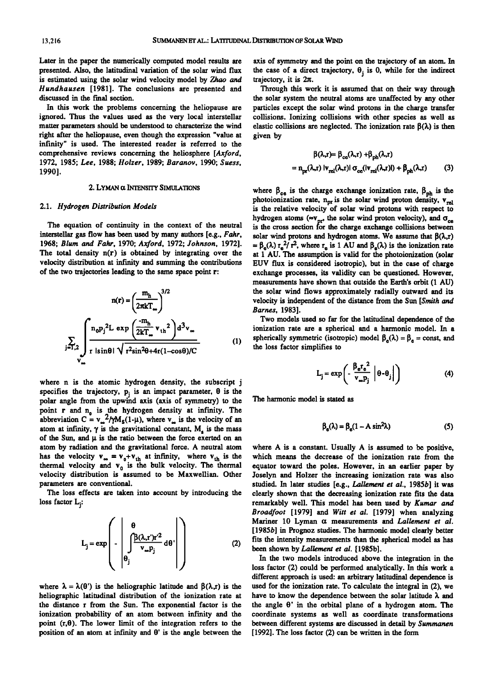**Later in the paper the numerically computed model results are presented. Also, the latitudinal variation of the solar wind flux is estimated using the solar wind velocity model by Zhao and Hundhausen [1981]. The conclusions are presented and discussed in the final section.** 

**In this work the problems concerning the heliopause are ignored. Thus the values used as the very local interstellar matter parameters should be understood to characterize the wind right after the heliopause, even though the expression "value at infinity" is used. The interested reader is referred to the comprehensive reviews concerning the heliosphere [Axford, 1972, 1985; Lee, 1988; Holzer, 1989; Baranov, 1990; Suess, 1990].** 

#### **2. LYMAN ot INTENSrI• SIMULATIONS**

#### **2.1. Hydrogen Distribution Models**

**The equation of continuity in the context of the neutral interstellar gas flow has been used by many authors [e.g., Fahr, 1968; Blum and Fahr, 1970; Axford, 1972; Johnson, 1972]. The total density n(r) is obtained by integrating over the**  velocity distribution at infinity and summing the contributions **of the two trajectories leading to the same space point r:** 

$$
n(r) = \left(\frac{m_h}{2\pi k T_{\infty}}\right)^{3/2}
$$
 the solar wind flows velocity is independent  
\n*Barnes*, 1983]. Two models used s  
\n
$$
\sum_{j=1,2} \int_{r}^{1} n_0 p_j^2 L \exp\left(\frac{m_h}{2kT_{\infty}} v_{th}^2\right) d^3 v_{\infty}
$$
 (1)  
\n
$$
v_{\infty}
$$
 spherically symmetric  
\nthe loss factor simpli

**where n is the atomic hydrogen density, the subscript j**  specifies the trajectory,  $p_i$  is an impact parameter,  $\theta$  is the **polar angle from the upwind axis (axis of symmetry) to the**  point **r** and **n**<sub>0</sub> is the hydrogen density at infinity. The abbreviation  $C = v_{\infty}^2 / \gamma M_s(1-\mu)$ , where  $v_{\infty}$  is the velocity of an atom at infinity,  $\gamma$  is the gravitational constant,  $M<sub>s</sub>$  is the mass of the Sun, and  $\mu$  is the ratio between the force exerted on an **atom by radiation and the gravitational force. A neutral atom**  has the velocity  $v_{\infty} = v_0 + v_{th}$  at infinity, where  $v_{th}$  is the thermal velocity and  $v_0$  is the bulk velocity. The thermal **velocity distribution is assumed to be Maxwellian. Other parameters are conventional.** 

**The loss effects are taken into account by introducing the loss factor Lj:** 

$$
L_{j} = \exp\left(-\left|\int_{\theta_{j}}^{\theta} \frac{\beta(\lambda, r')r'^{2}}{v_{\infty}p_{j}} d\theta'\right|\right) \tag{2}
$$

where  $\lambda = \lambda(\theta')$  is the heliographic latitude and  $\beta(\lambda,r)$  is the **heliographic latitudinal distribution of the ionization rate at the distance r from the Sun. The exponential factor is the ionization probability of an atom between infinity and the point**  $(r, \theta)$ . The lower limit of the integration refers to the position of an atom at infinity and  $\theta$ <sup>'</sup> is the angle between the

**axis of symmetry and the point on the trajectory of an atom. In**  the case of a direct trajectory,  $\theta_i$  is 0, while for the indirect trajectory, it is  $2\pi$ .

**Through this work it is assumed that on their way through the solar system the neutral atoms are unaffected by any other particles except the solar wind protons in the charge transfer collisions. Ionizing collisions with other species as well as**  elastic collisions are neglected. The ionization rate  $\beta(\lambda)$  is then **given by** 

$$
\beta(\lambda_{r}r) = \beta_{ce}(\lambda_{r}r) + \beta_{ph}(\lambda_{r}r)
$$

$$
= n_{px}(\lambda_{r}r) |v_{rel}(\lambda_{r}r)| \sigma_{ce}(|v_{rel}(\lambda_{r}r)|) + \beta_{ph}(\lambda_{r}r) \tag{3}
$$

where  $\beta_{ce}$  is the charge exchange ionization rate,  $\beta_{ph}$  is the photoionization rate,  $n_{\text{pr}}$  is the solar wind proton density,  $v_{\text{rel}}$ **is the relative velocity of solar wind protons with respect to**  hydrogen atoms ( $\approx v_{pr}$ , the solar wind proton velocity), and  $\sigma_{ce}$ is the cross section for the charge exchange collisions between solar wind protons and hydrogen atoms. We assume that  $\beta(\lambda, r)$ =  $\beta_e(\lambda) r_e^2/r^2$ , where  $r_e$  is 1 AU and  $\beta_e(\lambda)$  is the ionization rate **at 1 Aid. The assumption is valid for the photoionization (solar EUV flux is considered isotropic), but in the case of charge exchange processes, its validity can be questioned. However,**  measurements have shown that outside the Earth's orbit  $(1 \text{ AU})$ **the solar wind flows approximately radially outward and its velocity is independent of the distance from the Sun [Smith and Barnes, 1983].** 

**Two models used so far for the latitudinal dependence of the ionization rate are a spherical and a harmonic model. In a**  spherically symmetric (isotropic) model  $\beta_e(\lambda) = \beta_e = \text{const}$ , and **the loss factor simplifies to** 

$$
L_{j} = \exp\left(-\frac{\beta_{e}r_{e}^{2}}{v_{\infty}p_{j}}\left|\theta-\theta_{j}\right|\right)
$$
 (4)

**The harmonic model is stated as** 

$$
\beta_e(\lambda) = \beta_e(1 - A \sin^2 \lambda) \tag{5}
$$

**where A is a constant. Usually A is assumed to be positive, which means the decrease of the ionization rate from the equator toward the poles. However, in an earlier paper by Joselyn and Holzer the increasing ionization rate was also studied. In later studies [e.g., Lallement et al., 1985b] it was clearly shown that the decreasing ionization rate fits the data**  remarkably well. This model has been used by Kumar and **Broadfoot [1979] and Witt et al. [1979] when analyzing**  Mariner 10 Lyman  $\alpha$  measurements and *Lallement et al.* **[1985b] in Prognoz studies. The harmonic model clearly better fits the intensity measurements than the spherical model as has been shown by Lallement et al. [1985b].** 

**In the two models introduced above the integration in the loss factor (2) could be performed analytically. In this work a different approach is used: an arbitrary latitudinal dependence is used for the ionization rate. To calculate the integral in (2), we have to know the dependence between the solar latitude )• and the angle 0' in the orbital plane of a hydrogen atom. The coordinate systems as well as coordinate transformations**  between different systems are discussed in detail by Summanen **[ 1992]. The loss factor (2) can be written in the form**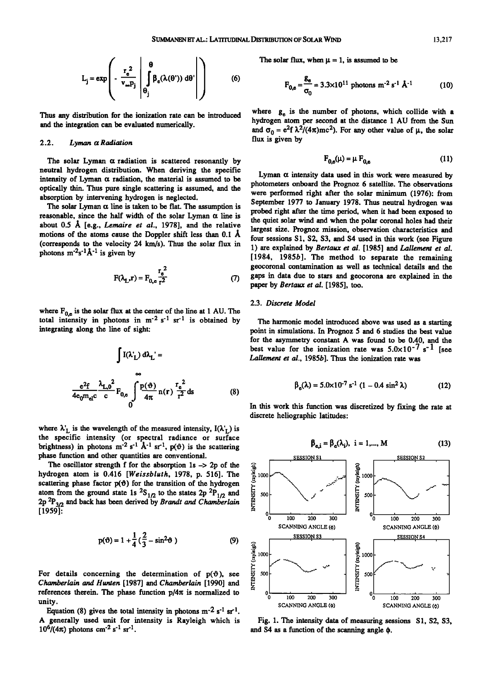$$
L_j = \exp\left(-\frac{r_e^2}{v_{\infty}p_j}\left(\theta\int_{\theta_j}^{\theta}\beta_e(\lambda(\theta'))\,d\theta'\right)\right) \tag{6}
$$

**Thus any distribution for the ionization rate can be introduced and the integration can be evaluated numerically.** 

#### **2.2. Lyman a Radiation**

**The solar Lyman a radiation is scattered resonantly by neutral hydrogen distribution. When deriving the specific**  intensity of Lyman  $\alpha$  radiation, the material is assumed to be **optically thin. Thus pure single scattering is assumed, and the absorption by intervening hydrogen is neglected.** 

The solar Lyman  $\alpha$  line is taken to be flat. The assumption is reasonable, since the half width of the solar Lyman  $\alpha$  line is about 0.5 Å [e.g., *Lemaire et al.*, 1978], and the relative motions of the atoms cause the Doppler shift less than 0.1 Å **(corresponds to the velocity 24 km/s). Thus the solar flux in**  photons  $m^{-2}s^{-1}\hat{A}^{-1}$  is given by

$$
F(\lambda_{L}, r) = F_{0, e} \frac{r_{e}^{2}}{r^{2}}
$$
 (7)

where  $F_{0,e}$  is the solar flux at the center of the line at 1 AU. The total intensity in photons in  $m<sup>-2</sup> s<sup>-1</sup> s<sup>-1</sup>$  is obtained by **integrating along the line of sight:** 

$$
\int I(\lambda_L^r) d\lambda_L^r =
$$
  

$$
\sum_{\substack{e^2f\\de_0m_{el}c}} \frac{\lambda_{L,0}^2}{c} F_{0,e} \int_0^\infty \frac{p(\vartheta)}{4\pi} n(r) \frac{r_e^2}{r^2} ds
$$
 (8)

where  $\lambda'_{\text{L}}$  is the wavelength of the measured intensity,  $I(\lambda'_{\text{L}})$  is **the specific intensity (or spectral radiance or surface**  brightness) in photons  $m^{-2} s^{-1} \mathbf{A}^{-1} s r^{-1}$ ,  $p(\vartheta)$  is the scattering **phase function and other quantities are conventional.** 

The oscillator strength f for the absorption 1s -> 2p of the **hydrogen atom is 0.416 [Weissbluth, 1978, p. 516]. The**  scattering phase factor  $p(\theta)$  for the transition of the hydrogen atom from the ground state 1s  ${}^{2}S_{1/2}$  to the states 2p  ${}^{2}P_{1/2}$  and The oscillator strength 1 for the absorption 1s  $\rightarrow$  2p of the<br>hydrogen atom is 0.416 [*Weissbluth*, 1978, p. 516]. The<br>scattering phase factor  $p(\theta)$  for the transition of the hydrogen<br>atom from the ground state 1s  ${}^{2}$ **[1959]:** 

$$
p(\vartheta) = 1 + \frac{1}{4}(\frac{2}{3} - \sin^2 \vartheta)
$$
 (9)

For details concerning the determination of  $p(\theta)$ , see **Chamberlain and Hunten [1987] and Chamberlain [1990] and**  references therein. The phase function  $p/4\pi$  is normalized to **unity.** 

Equation (8) gives the total intensity in photons  $m^{-2} s^{-1} s r^{-1}$ . **A generally used unit for intensity is Rayleigh which is**   $10^6/(4\pi)$  photons cm<sup>-2</sup> s<sup>-1</sup> sr<sup>-1</sup>.

The solar flux, when  $\mu = 1$ , is assumed to be

$$
F_{0,e} = \frac{g_e}{\sigma_0} = 3.3 \times 10^{11} \text{ photons m}^{-2} \text{ s}^{-1} \text{ A}^{-1}
$$
 (10)

where  $g<sub>e</sub>$  is the number of photons, which collide with a **hydrogen atom per second at the distance 1 AU from the Sun**  and  $\sigma_0 = e^2 f \lambda^2/(4\pi)mc^2$ ). For any other value of  $\mu$ , the solar **flux is given by** 

$$
\mathbf{F}_{0,\mathbf{e}}(\mu) = \mu \; \mathbf{F}_{0,\mathbf{e}} \tag{11}
$$

Lyman  $\alpha$  intensity data used in this work were measured by **photometers onboard the Prognoz 6 satellite. The observations were performed right after the solar minimum (1976): from September 1977 to January 1978. Thus neutral hydrogen was probed right after the time period, when it had been exposed to the quiet solar wind and when the polar coronal holes had their largest size. Prognoz mission, observation characteristics and four sessions S1, S2, S3, and S4 used in this work (see Figure 1) are explained by Bertaux et al. [1985] and Lallement et al. [1984, 1985b]. The method to separate the remaining geocoronal contamination as well as technical details and the gaps in data due to stars and geocorona are explained in the paper by Bertaux et al. [ 1985], too.** 

## **2.3. Discrete Model**

**The harmonic model introduced above was used as a starting point in simulations. In Prognoz 5 and 6 studies the best value for the asymmetry constant A was found to be 0.40, and the**  best value for the ionization rate was  $5.0 \times 10^{-7}$  s<sup>-1</sup> [see **Lallement et al., 1985b]. Thus the ionization rate was** 

$$
\beta_e(\lambda) = 5.0 \times 10^{-7} \text{ s}^{-1} (1 - 0.4 \text{ sin}^2 \lambda)
$$
 (12)

**In this work this function was discretized by fixing the rate at discrete hellographic latitudes:** 

$$
\beta_{e,i} = \beta_e(\lambda_i), \quad i = 1,..., M \tag{13}
$$



Fig. 1. The intensity data of measuring sessions S1, S2, S3, and S4 as a function of the scanning angle  $\phi$ .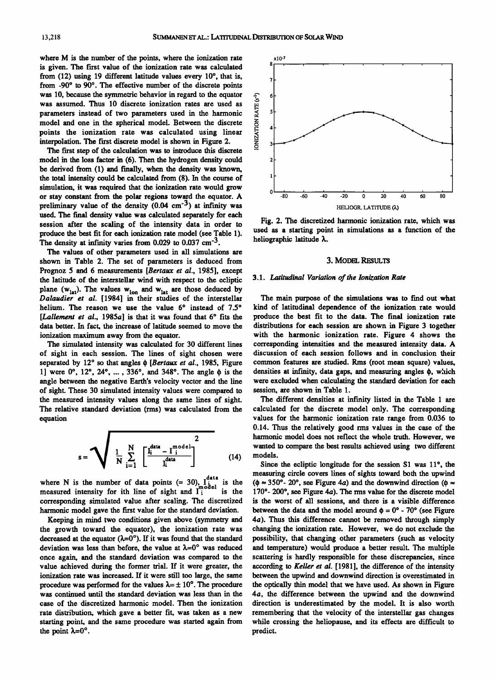**where M is the number of the points, where the ionization rate**  is given. The first value of the ionization rate was calculated **from (12) using 19 different latitude values every 10% that is,**  from -90° to 90°. The effective number of the discrete points **was 10, because the symmetric behavior in regard to the equator was assumed. Thus 10 discrete ionization rates are used as parameters instead of two parameters used in the harmonic model and one in the spherical model. Between the discrete points the ionization rate was calculated using linear**  interpolation. The first discrete model is shown in Figure 2.

The first step of the calculation was to introduce this discrete **model in the loss factor in (6). Then the hydrogen density could be derived from (1) and finally, when the density was known, the total intensity could be calculated from (8). In the course of simulation, it was required that the ionization rate would grow or stay constant from the polar regions toward the equator. A preliminary value of the density (0.04 cm -3) at infinity was used. The final density value was calculated separately for each session after the scaling of the intensity data in order to produce the best fit for each ionization rate model (see Table 1).**  The density at infinity varies from  $0.029$  to  $0.037$  cm<sup>-3</sup>.

**The values of other parameters used in all simulations are shown in Table 2. The set of parameters is deduced from Prognoz 5 and 6 measurements [Bertaux et al., 1985], except the latitude of the interstellar wind with respect to the ecliptic**  plane  $(w_{lat})$ . The values  $w_{lon}$  and  $w_{lat}$  are those deduced by **Dalaudier et al. [1984] in their studies of the interstellar**  helium. The reason we use the value 6° instead of 7.5° [Lallement et al., 1985a] is that it was found that 6° fits the **data better. In fact, the increase of latitude seemed to move the ionization maximum away from the equator.** 

**The simulated intensity was calculated for 30 different lines of sight in each session. The lines of sight chosen were**  separated by 12° so that angles  $\phi$  [Bertaux et al., 1985, Figure 1] were 0°, 12°, 24°, ..., 336°, and 348°. The angle  $\phi$  is the **angle between the negative Earth's velocity vector and the line of sight. These 30 simulated intensity values were compared to the measured intensity values along the same lines of sight. The relative standard deviation (rms) was calculated from the equation** 

$$
s = \sqrt{\frac{1}{N} \sum_{i=1}^{N} \left[ \frac{I_i^{\text{data}} - I_i^{\text{model}}}{I_i^{\text{data}}} \right]^2}
$$
 (14)

where N is the number of data points  $(= 30)$ ,  $\int_{0}^{0.4}$  is the measured intensity for ith line of sight and  $\int_{1}^{0.4}$  is the **corresponding simulated value after scaling. The discretized**  harmonic model gave the first value for the standard deviation.

**Keeping in mind two conditions given above (symmetry and the growth toward the equator), the ionization rate was**  decreased at the equator  $(\lambda=0^{\circ})$ . If it was found that the standard deviation was less than before, the value at  $\lambda=0^{\circ}$  was reduced **once again, and the standard deviation was compared to the value achieved during the former trial. If it were greater, the ionization rate was increased. If it were still too large, the same**  procedure was performed for the values  $\lambda = \pm 10^{\circ}$ . The procedure **was continued until the standard deviation was less than in the case of the discretized harmonic model. Then the ionization rate distribution, which gave a better fit, was taken as a new starting point, and the same procedure was started again from**  the point  $\lambda=0^\circ$ .



**Fig. 2. The discretized harmonic ionization rate, which was used as a starting point in simulations as a function of the**  heliographic latitude  $\lambda$ .

#### **3. MODEL RESULTS**

#### **3.1. Latitudinal Variation of the Ionization Rate**

**The main purpose of the simulations was to f'md out what kind of latitudinal dependence of the ionization rate would produce the best fit to the data. The final ionization rate distributions for each session are shown in Figure 3 together with the harmonic ionization rate. Figure 4 shows the corresponding intensities and the measured intensity data. A discussion of each session follows and in conclusion their common features are studied. Rms (root mean square) values, densities at infinity, data gaps, and measuring angles •, which were excluded when calculating the standard deviation for each session, are shown in Table 1.** 

**The different densities at infinity listed in the Table 1 are calculated for the discrete model only. The corresponding values for the harmonic ionization rate range from 0.036 to 0.14. Thus the relatively good rms values in the case of the harmonic model does not reflect the whole truth. However, we wanted to compare the best results achieved using two different models.** 

Since the ecliptic longitude for the session S1 was 11<sup>°</sup>, the **measuring circle covers lines of sights toward both the upwind**   $(\phi \approx 350^{\circ} - 20^{\circ})$ , see Figure 4*a*) and the downwind direction ( $\phi \approx$ **170 ø- 200 ø, see Figure 4a). The rms value for the discrete model is the worst of all sessions, and there is a visible difference**  between the data and the model around  $\phi = 0^\circ$  - 70° (see Figure **4a). Thus this difference cannot be removed through simply changing the ionization rate. However, we do not exclude the possibility, that changing other parameters (such as velocity and temperature) would produce a better result. The multiple scattering is hardly responsible for these discrepancies, since according to Keller et al. [1981], the difference of the intensity between the upwind and downwind direction is overestimated in the optically thin model that we have used. As shown in Figure 4a, the difference between the upwind and the downwind direction is underestimated by the model. It is also worth remembering that the velocity of the interstellar gas changes while crossing the heliopause, and its effects are difficult to predict.**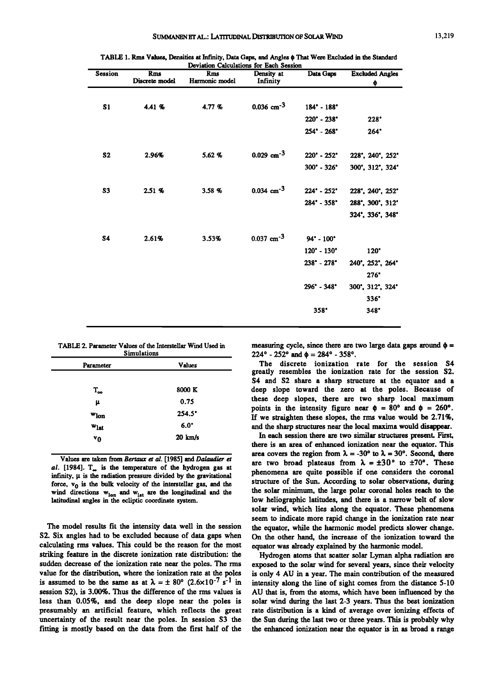| Session        | <b>Rms</b><br>Discrete model | <b>Rms</b><br>Harmonic model | Density at<br>Infinity   | Data Gaps                     | <b>Excluded Angles</b><br>Φ |
|----------------|------------------------------|------------------------------|--------------------------|-------------------------------|-----------------------------|
| S <sub>1</sub> | 4.41 %                       | 4.77 %                       | $0.036$ cm <sup>-3</sup> | $184^{\circ} - 188^{\circ}$   |                             |
|                |                              |                              |                          | $220^{\circ} - 238^{\circ}$   | $228^{\circ}$               |
|                |                              |                              |                          | $254^{\circ} - 268^{\circ}$   | 264"                        |
| S <sub>2</sub> | 2.96%                        | 5.62 %                       | $0.029$ cm <sup>-3</sup> | $220^{\circ}$ - $252^{\circ}$ | 228°, 240°, 252°            |
|                |                              |                              |                          | $300^{\circ}$ - $326^{\circ}$ | 300', 312', 324'            |
| S <sub>3</sub> | 2.51%                        | 3.58%                        | $0.034$ cm <sup>-3</sup> | $224 - 252$                   | 228', 240', 252'            |
|                |                              |                              |                          | $284^{\circ}$ - $358^{\circ}$ | 288', 300', 312'            |
|                |                              |                              |                          |                               | 324', 336', 348'            |
| <b>S4</b>      | 2.61%                        | 3.53%                        | $0.037$ cm <sup>-3</sup> | 94° - 100°                    |                             |
|                |                              |                              |                          | $120^{\circ}$ - $130^{\circ}$ | $120^\circ$                 |
|                |                              |                              |                          | $238° - 278°$                 | 240', 252', 264'            |
|                |                              |                              |                          |                               | 276"                        |
|                |                              |                              |                          | $296° - 348°$                 | 300", 312", 324°            |
|                |                              |                              |                          |                               | $336^\circ$                 |
|                |                              |                              |                          | $358^{\circ}$                 | 348°                        |

**TABLE 1. Rms Values, Densities at Infinity, Data Gaps, and Angles • That Were Excluded in the Standard Deviation Calculations for Each Session** 

| TABLE 2. Parameter Values of the Interstellar Wind Used in<br><b>Simulations</b> |               |  |  |  |
|----------------------------------------------------------------------------------|---------------|--|--|--|
| Parameter                                                                        | <b>Values</b> |  |  |  |
|                                                                                  |               |  |  |  |
| $T_{\infty}$                                                                     | 8000 K        |  |  |  |
| u                                                                                | 0.75          |  |  |  |

| $w_{lon}$ | <b>254.5</b>         |  |  |
|-----------|----------------------|--|--|
| $w_{lat}$ | $6.0^\circ$          |  |  |
| v0        | $20 \ \mathrm{km/s}$ |  |  |

**Values are taken from Bertaax et al. [1985] and Dalaudier et al. [1984]. T, is the temperature of the hydrogen gas at**  infinity,  $\mu$  is the radiation pressure divided by the gravitational force,  $v_0$  is the bulk velocity of the interstellar gas, and the wind directions  $w_{lon}$  and  $w_{lat}$  are the longitudinal and the **latitudinal angles in the ecliptic coordinate system.** 

**The model results fit the intensity data well in the session S2. Six angles had to be excluded because of data gaps when calculating rms values. This could be the reason for the most striking feature in the discrete ionization rate distribution: the sudden decrease of the ionization rate near the poles. The rms value for the distribution, where the ionization rate at the poles**  is assumed to be the same as at  $\lambda = \pm 80^{\circ}$  (2.6×10<sup>-7</sup> s<sup>-1</sup> in **session S2), is 3.00%. Thus the difference of the rms values is less than 0.05%, and the deep slope near the poles is presumably an artificial feature, which reflects the great uncertainty of the result near the poles. In session S3 the fitting is mostly based on the data from the first half of the**  measuring cycle, since there are two large data gaps around  $\phi =$  $224^{\circ}$  -  $252^{\circ}$  and  $\phi = 284^{\circ}$  -  $358^{\circ}$ .

**The discrete ionization rate for the session S4 greatly resembles the ionization rate for the session S2. S4 and S2 share a sharp structure at the equator and a deep slope toward the zero at the poles. Because of these deep slopes, there are two sharp local maximum**  points in the intensity figure near  $\phi = 80^{\circ}$  and  $\phi = 260^{\circ}$ . **If we straighten these slopes, the rms value would be 2.71%, and the sharp structures near the local maxima would disappear.** 

**In each session there are two similar structures present. First, there is an area of enhanced ionization near the equator. This**  area covers the region from  $\lambda = -30^{\circ}$  to  $\lambda = 30^{\circ}$ . Second, there are two broad plateaus from  $\lambda = \pm 30^{\circ}$  to  $\pm 70^{\circ}$ . These **phenomena are quite possible if one considers the coronal structure of the Sun. According to solar observations, during the solar minimum, the large polar coronal holes reach to the low heliographic latitudes, and there is a narrow belt of slow solar wind, which lies along the equator. These phenomena seem to indicate more rapid change in the ionization rate near the equator, while the harmonic model predicts slower change. On the other hand, the increase of the ionization toward the equator was already explained by the harmonic model.** 

**Hydrogen atoms that scatter solar Lyman alpha radiation are exposed to the solar wind for several years, since their velocity is only 4 AU in a year. The main contribution of the measured intensity along the line of sight comes from the distance 5-10 AU that is, from the atoms, which have been influenced by the solar wind during the last 2-3 years. Thus the best ionization rate distribution is a kind of average over ionizing effects of the Sun during the last two or three years. This is probably why the enhanced ionization near the equator is in as broad a range**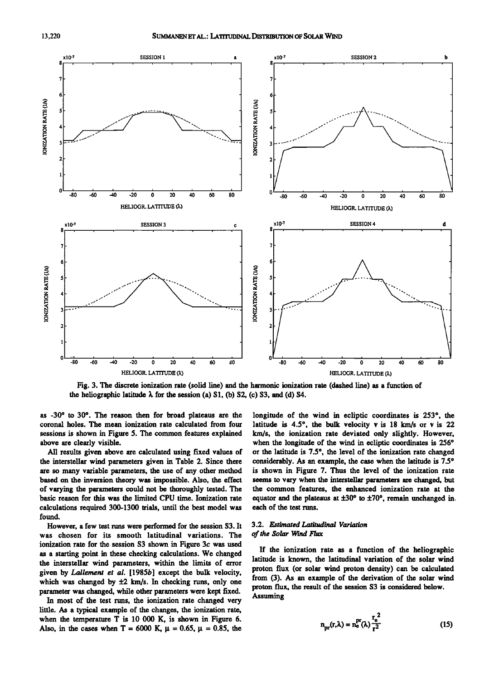

**Fig. 3. The discrete ionization rate (solid line) and the harmonic ionization rate (dashed line) as a function of**  the heliographic latitude  $\lambda$  for the session (a) S1, (b) S2, (c) S3, and (d) S4.

as -30° to 30°. The reason then for broad plateaus are the **coronal holes. The mean ionization rate calculated from four sessions is shown in Figure 5. The common features explained above are clearly visible.** 

**All results given above are calculated using fixed values of the interstellar wind parameters given in Table 2. Since there are so many variable parameters, the use of any other method based on the inversion theory was impossible. Also, the effect of varying the parameters could not be thoroughly tested. The basic reason for this was the limited CPU time. Ionization rate calculations required 300-1300 trials, until the best model was found.** 

**However, a few test runs were performed for the session S3. It was chosen for its smooth latitudinal variations. The ionization rate for the session S3 shown in Figure 3c was used as a starting point in these checking calculations. We changed the interstellar wind parameters, within the limits of error given by Lallement et al. [1985b] except the bulk velocity,**  which was changed by  $\pm 2$  km/s. In checking runs, only one **parameter was changed, while other parameters were kept fixed.** 

**In most of the test runs, the ionization rate changed very litfie. As a typical example of the changes, the ionization rate, when the temperature T is 10 000 K, is shown in Figure 6.**  Also, in the cases when T = 6000 K,  $\mu$  = 0.65,  $\mu$  = 0.85, the longitude of the wind in ecliptic coordinates is 253<sup>°</sup>, the latitude is 4.5°, the bulk velocity v is 18 km/s or v is 22 **km/s, the ionization rate deviated only slightly. However,**  when the longitude of the wind in ecliptic coordinates is 256° **or the latitude is 7.5 ø, the level of the ionization rate changed**  considerably. As an example, the case when the latitude is 7.5° **is shown in Figure 7. Thus the level of the ionization rate seems to vary when the interstellar parameters are changed, but the common features, the enhanced ionization rate at the**  equator and the plateaus at  $\pm 30^{\circ}$  to  $\pm 70^{\circ}$ , remain unchanged in. **each of the test runs.** 

### **3.2. Estimated Latitudinal Variation of the Solar Wind Flux**

**If the ionization rate as a function of the heliographic latitude is known, the latitudinal variation of the solar wind proton flux (or solar wind proton density) can be calculated from (3). As an example of the derivation of the solar wind proton flux, the result of the session S3 is considered below. Assuming** 

$$
n_{\text{pr}}(r,\lambda) = n_{\text{o}}^{\text{pr}}(\lambda) \frac{r_{\text{o}}^2}{r^2}
$$
 (15)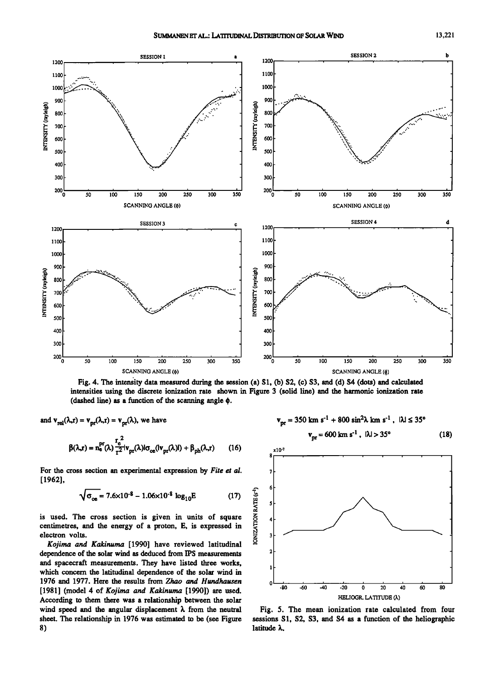

**Fig. 4. The intensity data measured during the session (a) S1, (b) S2, (c) S3, and (d) S4 (dots) and calculated intensities using the discrete ionization rate shown in Figure 3 (solid line) and the harmonic ionization rate (dashed line) as a function of the scanning angle •.** 

IONIZATION RATE (s<sup>-1</sup>)

and  $v_{rel}(\lambda, r) = v_{pr}(\lambda, r) = v_{pr}(\lambda)$ , we have

$$
\beta(\lambda_r r) = n_e^{\text{pr}}(\lambda) \frac{r_e^2}{r^2} \vert v_{\text{pr}}(\lambda) \vert \sigma_{ce}(\vert v_{\text{pr}}(\lambda) \vert) + \beta_{\text{ph}}(\lambda_r r) \qquad (16)
$$

For the cross section an experimental expression by Fite et al. **[1962],** 

$$
\sqrt{\sigma_{ce}} = 7.6 \times 10^{-8} - 1.06 \times 10^{-8} \log_{10} E \tag{17}
$$

**is used. The cross section is given in units of square centimetres, and the energy of a proton, E, is expressed in electron volts.** 

**Kojima and Kakinuma [1990] have reviewed latitudinal dependence of the solar wind as deduced from IPS measurements and spacecraft measurements. They have listed three works, which concern the latitudinal dependence of the solar wind in**  1976 and 1977. Here the results from Zhao and Hundhausen **[1981] (model 4 of Kojima and Kakinuma [1990]) are used. According to them there was a relationship between the solar**  wind speed and the angular displacement  $\lambda$  from the neutral **sheet. The relationship in 1976 was estimated to be (see Figure** 

**Vpr---- 600 km s '• , I•.1 > 35 ø xlO-? , , , , , , , , (18) o -io -;o h & HELIOGR. LATITUDE (k)** 

 $v_{\text{nr}} = 350 \text{ km s}^{-1} + 800 \text{ sin}^2 \lambda \text{ km s}^{-1}$ ,  $|\lambda| \leq 35^{\circ}$ 

**Fig. 5. The mean ionization rate calculated from four sessions S1, S2, S3, and S4 as a function of the heliographic**  latitude  $\lambda$ .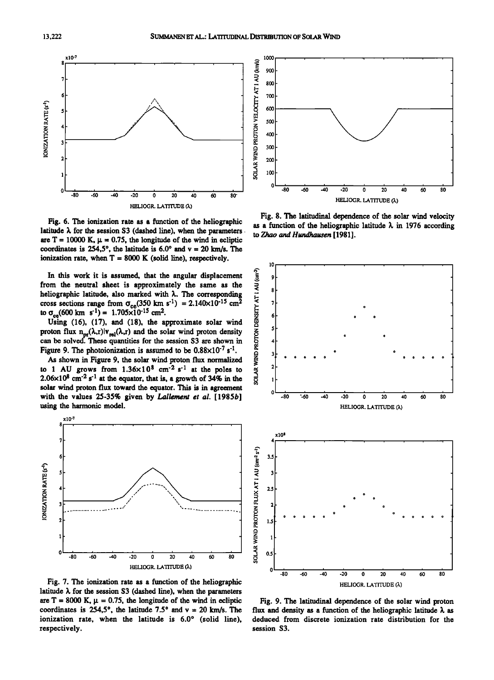

**Fig. 6. The ionization rate as a fimction of the heliographic**  latitude  $\lambda$  for the session S3 (dashed line), when the parameters are  $T = 10000$  K,  $\mu = 0.75$ , the longitude of the wind in ecliptic coordinates is  $254.5^{\circ}$ , the latitude is  $6.0^{\circ}$  and  $v = 20$  km/s. The **ionization rate, when T = 8000 K (solid line), respectively.** 

In this work it is assumed, that the angular displacement<br>
om the neutral sheet is approximately the same as the<br>
liographic latitude, also marked with  $\lambda$ . The corresponding<br>
oss sections range from  $\sigma_{ce}(350 \text{ km s}^{-1}) =$ **from the neutral sheet is approximately the same as the**  heliographic latitude, also marked with  $\lambda$ . The corresponding cross sections range from  $\sigma_{ce}(350 \text{ km s}^{-1}) = 2.140 \times 10^{-15} \text{ cm}^2$ <br>to  $\sigma_{ce}(600 \text{ km s}^{-1}) = 1.705 \times 10^{-15} \text{ cm}^2$ .

Using (16), (17), and (18), the approximate solar wind proton flux  $n_{pr}(\lambda,r)|v_{rel}(\lambda,r)$  and the solar wind proton density can be solved. These quantities for the session S3 are shown in Figure 9. The photoionization is assumed to be  $0.88 \times 10^{-7}$  s<sup>-1</sup>.

**As shown in Figure 9, the solar wind proton flux normalized**  to 1 AU grows from  $1.36 \times 10^8$  cm<sup>-2</sup> s<sup>-1</sup> at the poles to  $2.06 \times 10^8$  cm<sup>-2</sup> s<sup>-1</sup> at the equator, that is, a growth of 34% in the **solar wind proton flux toward the equator. This is in agreement with the values 25-35% given by Lallement et al. [1985b] using the harmonic model.** 



**Fig. 7. The ionization rate as a function of the heliographic**  latitude  $\lambda$  for the session S3 (dashed line), when the parameters are  $T = 8000$  K,  $\mu = 0.75$ , the longitude of the wind in ecliptic coordinates is  $254.5^{\circ}$ , the latitude  $7.5^{\circ}$  and  $v = 20$  km/s. The ionization rate, when the latitude is 6.0° (solid line), **respectively.** 



**Fig. 8. The latitudinal dependence of the solar wind velocity**  as a function of the heliographic latitude  $\lambda$  in 1976 according to Zhao and Hundhausen [1981].



**Fig. 9. The latitudinal dependence of the solar wind proton**  flux and density as a function of the heliographic latitude  $\lambda$  as **deduced from discrete ionization rate distribution for the session S3.**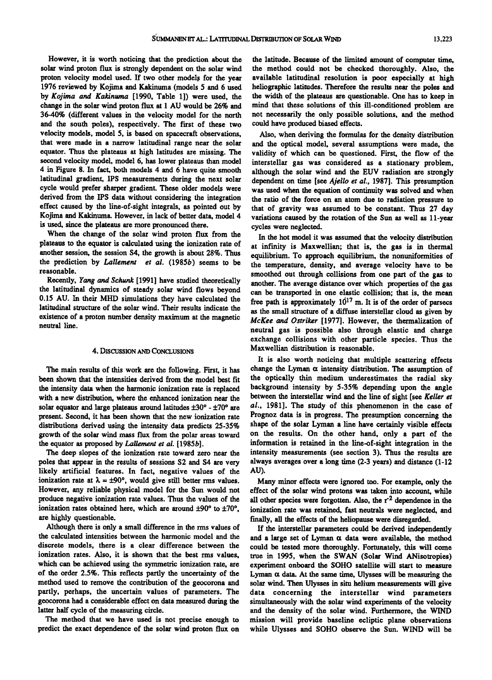**However, it is worth noticing that the prediction about the solar wind proton flux is strongly dependent on the solar wind**  proton velocity model used. If two other models for the year **1976 reviewed by Kojima and Kakinuma (models 5 and 6 used by Kojima and Kakinuma [1990, Table 1]) were used, the change in the solar wind proton flux at 1 AU would be 26% and 36-40% (different values in the velocity model for the north and the south poles), respectively. The first of these two velocity models, model 5, is based on spacecraft observations, that were made in a narrow latitudinal range near the solar equator. Thus the plateaus at high latitudes are missing. The second velocity model, model 6, has lower plateaus than model 4 in Figure 8. In fact, both models 4 and 6 have quite smooth latitudinal gradient, IPS measurements during the next solar cycle would prefer sharper gradient. These older models were derived from the IPS data without considering the integration effect caused by the line-of-sight integrals, as pointed out by Kojima and Kakinuma. However, in lack of better data, model 4 is used, since the plateaus are more pronounced there.** 

**When the change of the solar wind proton flux from the plateaus to the equator is calculated using the ionization rate of another session, the session S4, the growth is about 28%. Thus the prediction by Lallement et al. (1985b) seems to be reasonable.** 

**Recently, Yang and Schunk [1991] have studied theoretically the latitudinal dynamics of steady solar wind flows beyond 0.15 AU. In their MHD simulations they have calculated the latitudinal structure of the solar wind. Their results indicate the existence of a proton number density maximum at the magnetic neutral line.** 

#### **4. DISCUSSION AND CONCLUSIONS**

**The main results of this work are the following. First, it has been shown that the intensities derived from the model best fit the intensity data when the harmonic ionization rate is replaced with a new distribution, where the enhanced ionization near the**  solar equator and large plateaus around latitudes  $\pm 30^\circ$  -  $\pm 70^\circ$  are **present. Second, it has been shown that the new ionization rate distributions derived using the intensity data predicts 25-35% growth of the solar wind mass flux from the polar areas toward the equator as proposed by Lallement et al. [1985b].** 

**The deep slopes of the ionization rate toward zero near the poles that appear in the results of sessions S2 and S4 are very likely artificial features. In fact, negative values of the**  ionization rate at  $\lambda = \pm 90^{\circ}$ , would give still better rms values. **However, any reliable physical model for the Sun would not produce negative ionization rate values. Thus the values of the**  ionization rates obtained here, which are around  $\pm 90^\circ$  to  $\pm 70^\circ$ . **are highly questionable.** 

**Although there is only a small difference in the rms values of the calculated intensities between the harmonic model and the discrete models, there is a clear difference between the ionization rates. Also, it is shown that the best rms values, which can be achieved using the symmetric ionization rate, are of the order 2.5%. This reflects partly the uncertainty of the method used to remove the contribution of the geocorona and partly, perhaps, the uncertain values of parameters. The**  geocorona had a considerable effect on data measured during the **latter half cycle of the measuring circle.** 

**The method that we have used is not precise enough to predict the exact dependence of the solar wind proton flux on** 

**the latitude. Because of the limited amount of computer time, the method could not be checked thoroughly. Also, the available latitudinal resolution is poor especially at high heliographic latitudes. Therefore the results near the poles and the width of the plateaus are questionable. One has to keep in mind that these solutions of this ill-conditioned problem are not necessarily the only possible solutions, and the method could have produced biased effects.** 

**Also, when deriving the formulas for the density distribution and the optical model, several assumptions were made, the validity of which can be questioned. First, the flow of the interstellar gas was considered as a stationary problem, although the solar wind and the EUV radiation are strongly dependent on time [see Ajello et al., 1987]. This presumption was used when the equation of continuity was solved and when the ratio of the force on an atom due to radiation pressure to that of gravity was assumed to be constant. Thus 27 day variations caused by the rotation of the Sun as well as 11-year cycles were neglected.** 

**In the hot model it was assumed that the velocity distribution at infinity is Maxwellian; that is, the gas is in thermal equilibrium. To approach equilibrium, the nonuniformities of the temperature, density, and average velocity have to be smoothed out through collisions from one part of the gas to another. The average distance over which properties of the gas can be transported in one elastic collision; that is, the mean**  free path is approximately  $10^{17}$  m. It is of the order of parsecs **as the small structure of a diffuse interstellar cloud as given by McKee and Ostriker [1977]. However, the thermalization of neutral gas is possible also through elastic and charge exchange collisions with other particle species. Thus the Maxwellian distribution is reasonable.** 

**It is also worth noticing that multiple scattering effects**  change the Lyman  $\alpha$  intensity distribution. The assumption of **the optically thin medium underestimates the radial sky background intensity by 5-35% depending upon the angle between the interstellar wind and the line of sight [see Keller et al., 1981]. The study of this phenomenon in the case of Prognoz data is in progress. The presumption concerning the shape of the solar Lyman a line have certainly visible effects on the results. On the other hand, only a part of the information is retained in the line-of-sight integration in the intensity measurements (see section 3). Thus the results are always averages over a long time (2-3 years) and distance (1-12 AU).** 

**Many minor effects were ignored too. For example, only the effect of the solar wind protons was taken into account, while**  all other species were forgotten. Also, the r<sup>2</sup> dependence in the **ionization rate was retained, fast neutrals were neglected, and**  finally, all the effects of the heliopause were disregarded.

**If the interstellar parameters could be derived independently**  and a large set of Lyman  $\alpha$  data were available, the method **could be tested more thoroughly. Fortunately, this will come true in 1995, when the SWAN (Solar Wind ANisotropies) experiment onboard the SOHO satellite will start to measure**  Lyman  $\alpha$  data. At the same time, Ulysses will be measuring the **solar wind. Then Ulysses in situ helium measurements will give data concerning the interstellar wind parameters simultaneously with the solar wind experiments of the velocity and the density of the solar wind. Furthermore, the WIND mission will provide baseline ecliptic plane observations while Ulysses and SOHO observe the Sun. WIND will be**